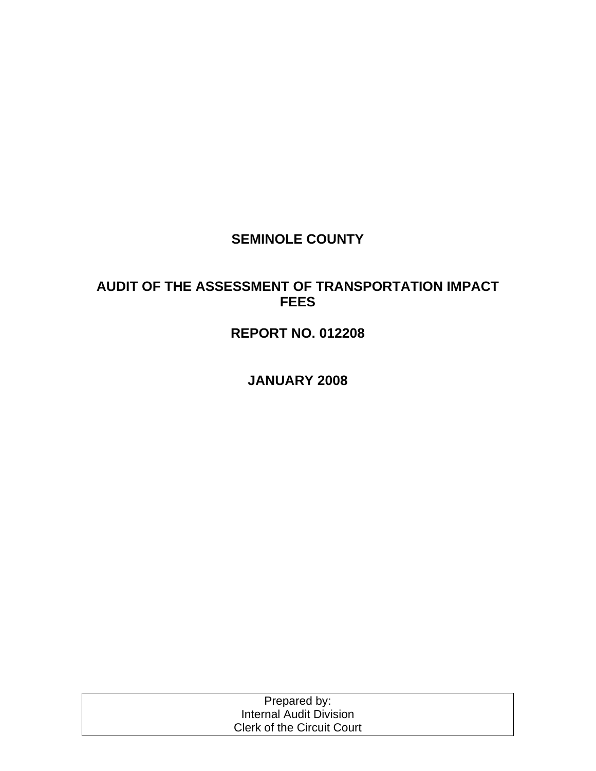## **SEMINOLE COUNTY**

## **AUDIT OF THE ASSESSMENT OF TRANSPORTATION IMPACT FEES**

# **REPORT NO. 012208**

**JANUARY 2008** 

| Prepared by:                      |  |
|-----------------------------------|--|
| Internal Audit Division           |  |
| <b>Clerk of the Circuit Court</b> |  |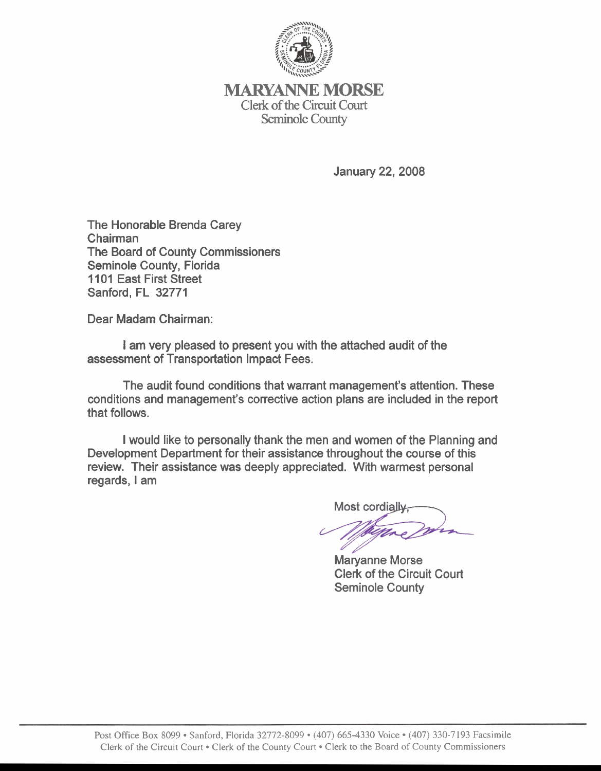

**lMARYANNE** MORSE Clerk of the Circuit Court Seminole County

**January 22, 2008** 

The Honorable Brenda Carey Chairman The Board of County Commissioners Seminole County, Florida 1101 East First Street Sanford, FL 32771

Dear Madam Chairman:

I am very pleased to present you with the attached audit of the assessment of Transportation Impact Fees.

The audit found conditions that warrant management's attention. These conditions and management's corrective action plans are included in the report that follows.

I would like to personally thank the men and women of the Planning and Development Department for their assistance throughout the course of this review. Their assistance was deeply appreciated. With warmest personal regards, I am

Most cordialive

Maryanne Morse Clerk of the Circuit Court Seminole County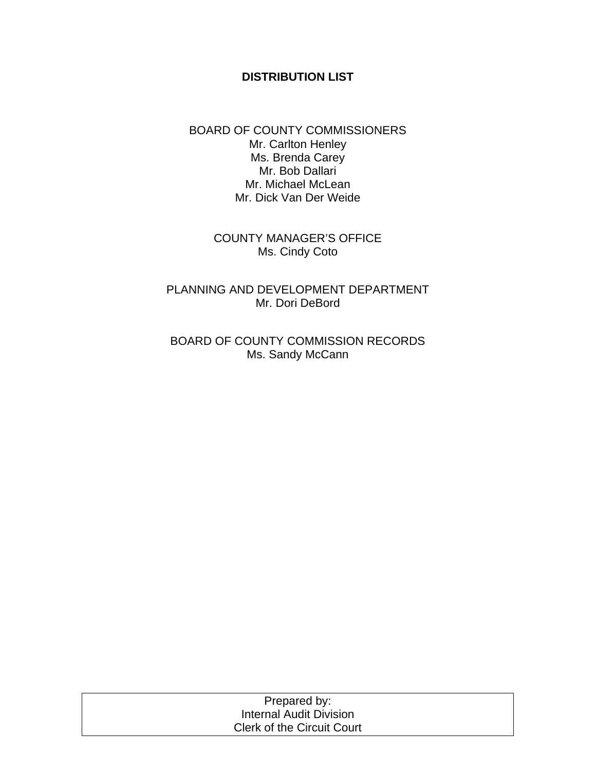#### **DISTRIBUTION LIST**

#### BOARD OF COUNTY COMMISSIONERS Mr. Carlton Henley Ms. Brenda Carey Mr. Bob Dallari Mr. Michael McLean Mr. Dick Van Der Weide

COUNTY MANAGER'S OFFICE Ms. Cindy Coto

PLANNING AND DEVELOPMENT DEPARTMENT Mr. Dori DeBord

BOARD OF COUNTY COMMISSION RECORDS Ms. Sandy McCann

| Prepared by:                      |  |
|-----------------------------------|--|
| Internal Audit Division           |  |
| <b>Clerk of the Circuit Court</b> |  |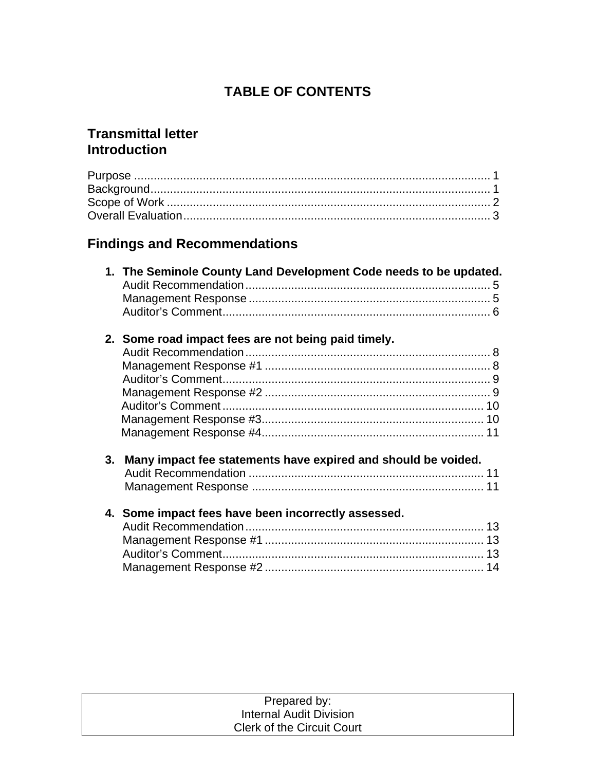# **TABLE OF CONTENTS**

## **Transmittal letter Introduction**

# **Findings and Recommendations**

|    | 1. The Seminole County Land Development Code needs to be updated. |    |
|----|-------------------------------------------------------------------|----|
|    |                                                                   |    |
|    | 2. Some road impact fees are not being paid timely.               |    |
|    |                                                                   |    |
|    |                                                                   |    |
|    |                                                                   |    |
|    |                                                                   |    |
|    |                                                                   |    |
|    |                                                                   |    |
|    |                                                                   | 11 |
| 3. | Many impact fee statements have expired and should be voided.     |    |
|    | 4. Some impact fees have been incorrectly assessed.               |    |

| Prepared by:                      |  |
|-----------------------------------|--|
| Internal Audit Division           |  |
| <b>Clerk of the Circuit Court</b> |  |
|                                   |  |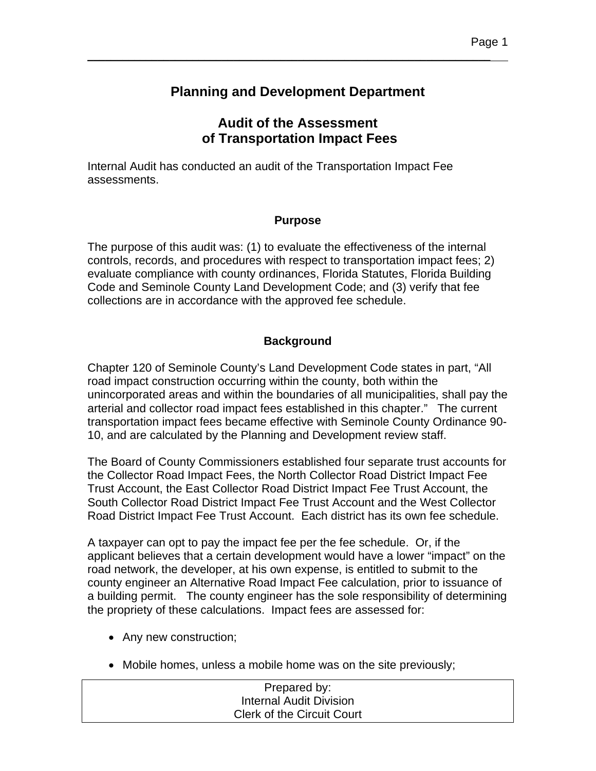## **Planning and Development Department**

\_\_\_\_\_\_\_\_\_\_\_\_\_\_\_\_\_\_\_\_\_\_\_\_\_\_\_\_\_\_\_\_\_\_\_\_\_\_\_\_\_\_\_\_\_\_\_\_\_\_\_\_\_\_\_\_\_\_\_\_\_\_\_\_\_\_\_\_\_

## **Audit of the Assessment of Transportation Impact Fees**

Internal Audit has conducted an audit of the Transportation Impact Fee assessments.

## **Purpose**

The purpose of this audit was: (1) to evaluate the effectiveness of the internal controls, records, and procedures with respect to transportation impact fees; 2) evaluate compliance with county ordinances, Florida Statutes, Florida Building Code and Seminole County Land Development Code; and (3) verify that fee collections are in accordance with the approved fee schedule.

## **Background**

Chapter 120 of Seminole County's Land Development Code states in part, "All road impact construction occurring within the county, both within the unincorporated areas and within the boundaries of all municipalities, shall pay the arterial and collector road impact fees established in this chapter." The current transportation impact fees became effective with Seminole County Ordinance 90- 10, and are calculated by the Planning and Development review staff.

The Board of County Commissioners established four separate trust accounts for the Collector Road Impact Fees, the North Collector Road District Impact Fee Trust Account, the East Collector Road District Impact Fee Trust Account, the South Collector Road District Impact Fee Trust Account and the West Collector Road District Impact Fee Trust Account. Each district has its own fee schedule.

A taxpayer can opt to pay the impact fee per the fee schedule. Or, if the applicant believes that a certain development would have a lower "impact" on the road network, the developer, at his own expense, is entitled to submit to the county engineer an Alternative Road Impact Fee calculation, prior to issuance of a building permit. The county engineer has the sole responsibility of determining the propriety of these calculations. Impact fees are assessed for:

- Any new construction;
- Mobile homes, unless a mobile home was on the site previously;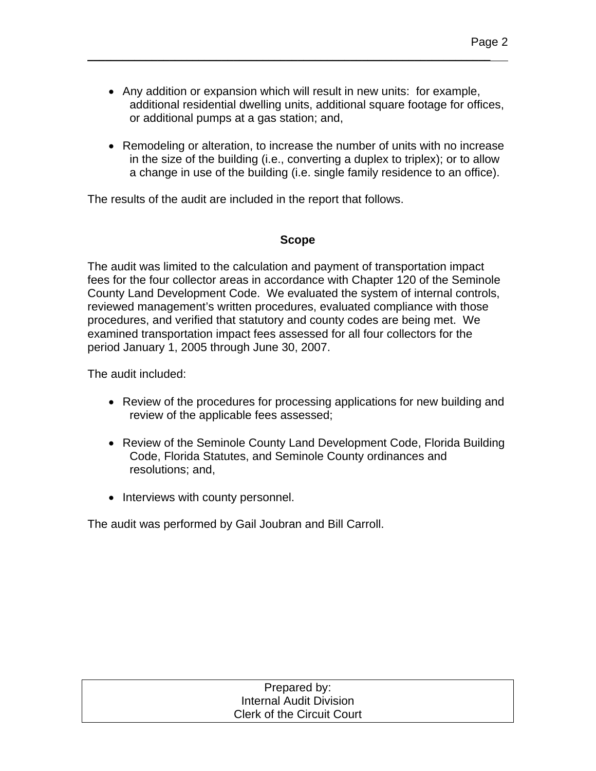• Any addition or expansion which will result in new units: for example, additional residential dwelling units, additional square footage for offices, or additional pumps at a gas station; and,

\_\_\_\_\_\_\_\_\_\_\_\_\_\_\_\_\_\_\_\_\_\_\_\_\_\_\_\_\_\_\_\_\_\_\_\_\_\_\_\_\_\_\_\_\_\_\_\_\_\_\_\_\_\_\_\_\_\_\_\_\_\_\_\_\_\_\_\_\_

• Remodeling or alteration, to increase the number of units with no increase in the size of the building (i.e., converting a duplex to triplex); or to allow a change in use of the building (i.e. single family residence to an office).

The results of the audit are included in the report that follows.

### **Scope**

The audit was limited to the calculation and payment of transportation impact fees for the four collector areas in accordance with Chapter 120 of the Seminole County Land Development Code. We evaluated the system of internal controls, reviewed management's written procedures, evaluated compliance with those procedures, and verified that statutory and county codes are being met. We examined transportation impact fees assessed for all four collectors for the period January 1, 2005 through June 30, 2007.

The audit included:

- Review of the procedures for processing applications for new building and review of the applicable fees assessed;
- Review of the Seminole County Land Development Code, Florida Building Code, Florida Statutes, and Seminole County ordinances and resolutions; and,
- Interviews with county personnel.

The audit was performed by Gail Joubran and Bill Carroll.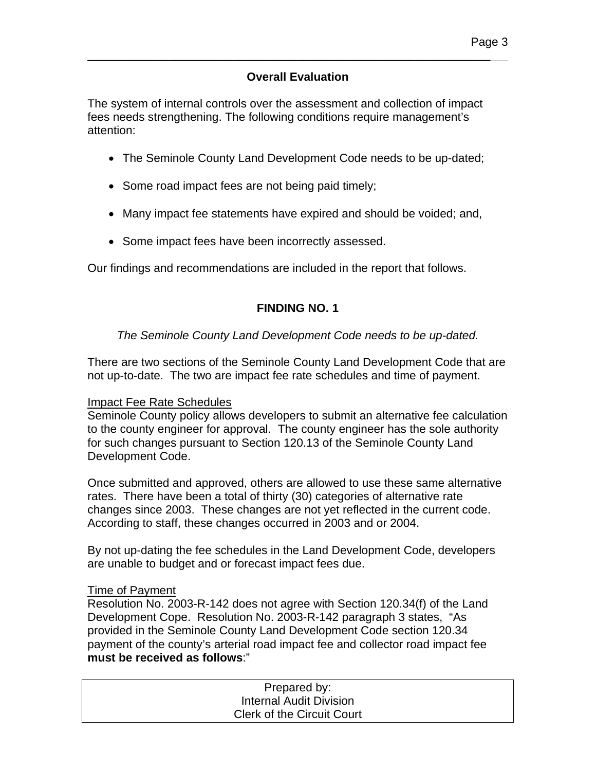## **Overall Evaluation**

\_\_\_\_\_\_\_\_\_\_\_\_\_\_\_\_\_\_\_\_\_\_\_\_\_\_\_\_\_\_\_\_\_\_\_\_\_\_\_\_\_\_\_\_\_\_\_\_\_\_\_\_\_\_\_\_\_\_\_\_\_\_\_\_\_\_\_\_\_

The system of internal controls over the assessment and collection of impact fees needs strengthening. The following conditions require management's attention:

- The Seminole County Land Development Code needs to be up-dated;
- Some road impact fees are not being paid timely;
- Many impact fee statements have expired and should be voided; and,
- Some impact fees have been incorrectly assessed.

Our findings and recommendations are included in the report that follows.

## **FINDING NO. 1**

## *The Seminole County Land Development Code needs to be up-dated.*

There are two sections of the Seminole County Land Development Code that are not up-to-date. The two are impact fee rate schedules and time of payment.

#### Impact Fee Rate Schedules

Seminole County policy allows developers to submit an alternative fee calculation to the county engineer for approval. The county engineer has the sole authority for such changes pursuant to Section 120.13 of the Seminole County Land Development Code.

Once submitted and approved, others are allowed to use these same alternative rates. There have been a total of thirty (30) categories of alternative rate changes since 2003. These changes are not yet reflected in the current code. According to staff, these changes occurred in 2003 and or 2004.

By not up-dating the fee schedules in the Land Development Code, developers are unable to budget and or forecast impact fees due.

#### Time of Payment

Resolution No. 2003-R-142 does not agree with Section 120.34(f) of the Land Development Cope. Resolution No. 2003-R-142 paragraph 3 states, "As provided in the Seminole County Land Development Code section 120.34 payment of the county's arterial road impact fee and collector road impact fee **must be received as follows**:"

| Prepared by:                      |  |
|-----------------------------------|--|
| Internal Audit Division           |  |
| <b>Clerk of the Circuit Court</b> |  |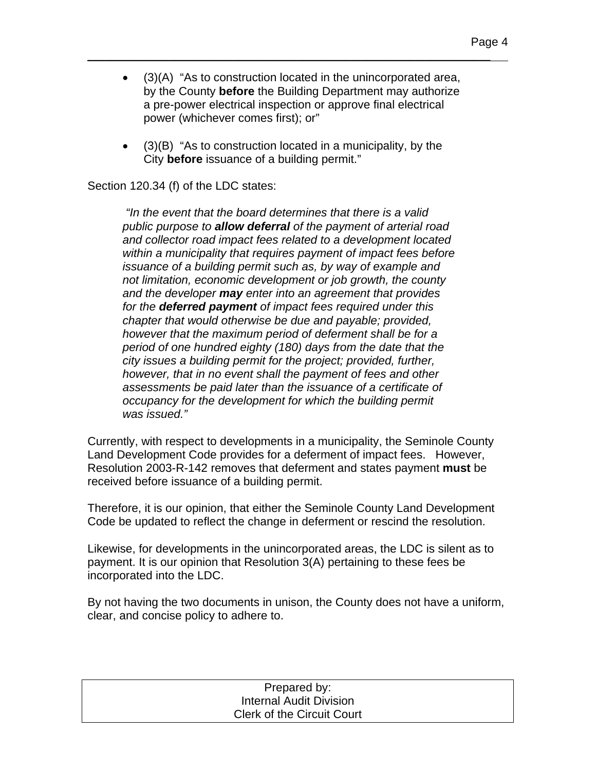• (3)(A) "As to construction located in the unincorporated area, by the County **before** the Building Department may authorize a pre-power electrical inspection or approve final electrical power (whichever comes first); or"

\_\_\_\_\_\_\_\_\_\_\_\_\_\_\_\_\_\_\_\_\_\_\_\_\_\_\_\_\_\_\_\_\_\_\_\_\_\_\_\_\_\_\_\_\_\_\_\_\_\_\_\_\_\_\_\_\_\_\_\_\_\_\_\_\_\_\_\_\_

• (3)(B) "As to construction located in a municipality, by the City **before** issuance of a building permit."

Section 120.34 (f) of the LDC states:

 *"In the event that the board determines that there is a valid public purpose to allow deferral of the payment of arterial road and collector road impact fees related to a development located within a municipality that requires payment of impact fees before issuance of a building permit such as, by way of example and not limitation, economic development or job growth, the county and the developer may enter into an agreement that provides for the deferred payment of impact fees required under this chapter that would otherwise be due and payable; provided, however that the maximum period of deferment shall be for a period of one hundred eighty (180) days from the date that the city issues a building permit for the project; provided, further, however, that in no event shall the payment of fees and other assessments be paid later than the issuance of a certificate of occupancy for the development for which the building permit was issued."* 

Currently, with respect to developments in a municipality, the Seminole County Land Development Code provides for a deferment of impact fees. However, Resolution 2003-R-142 removes that deferment and states payment **must** be received before issuance of a building permit.

Therefore, it is our opinion, that either the Seminole County Land Development Code be updated to reflect the change in deferment or rescind the resolution.

Likewise, for developments in the unincorporated areas, the LDC is silent as to payment. It is our opinion that Resolution 3(A) pertaining to these fees be incorporated into the LDC.

By not having the two documents in unison, the County does not have a uniform, clear, and concise policy to adhere to.

| Prepared by:                      |
|-----------------------------------|
| Internal Audit Division           |
| <b>Clerk of the Circuit Court</b> |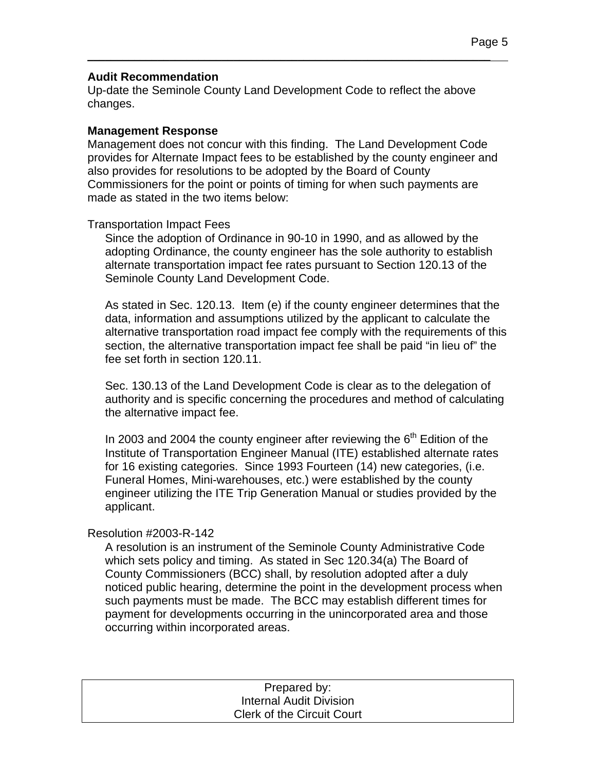#### **Audit Recommendation**

Up-date the Seminole County Land Development Code to reflect the above changes.

\_\_\_\_\_\_\_\_\_\_\_\_\_\_\_\_\_\_\_\_\_\_\_\_\_\_\_\_\_\_\_\_\_\_\_\_\_\_\_\_\_\_\_\_\_\_\_\_\_\_\_\_\_\_\_\_\_\_\_\_\_\_\_\_\_\_\_\_\_

#### **Management Response**

Management does not concur with this finding. The Land Development Code provides for Alternate Impact fees to be established by the county engineer and also provides for resolutions to be adopted by the Board of County Commissioners for the point or points of timing for when such payments are made as stated in the two items below:

#### Transportation Impact Fees

Since the adoption of Ordinance in 90-10 in 1990, and as allowed by the adopting Ordinance, the county engineer has the sole authority to establish alternate transportation impact fee rates pursuant to Section 120.13 of the Seminole County Land Development Code.

As stated in Sec. 120.13. Item (e) if the county engineer determines that the data, information and assumptions utilized by the applicant to calculate the alternative transportation road impact fee comply with the requirements of this section, the alternative transportation impact fee shall be paid "in lieu of" the fee set forth in section 120.11.

Sec. 130.13 of the Land Development Code is clear as to the delegation of authority and is specific concerning the procedures and method of calculating the alternative impact fee.

In 2003 and 2004 the county engineer after reviewing the  $6<sup>th</sup>$  Edition of the Institute of Transportation Engineer Manual (ITE) established alternate rates for 16 existing categories. Since 1993 Fourteen (14) new categories, (i.e. Funeral Homes, Mini-warehouses, etc.) were established by the county engineer utilizing the ITE Trip Generation Manual or studies provided by the applicant.

#### Resolution #2003-R-142

A resolution is an instrument of the Seminole County Administrative Code which sets policy and timing. As stated in Sec 120.34(a) The Board of County Commissioners (BCC) shall, by resolution adopted after a duly noticed public hearing, determine the point in the development process when such payments must be made. The BCC may establish different times for payment for developments occurring in the unincorporated area and those occurring within incorporated areas.

| Prepared by:                      |  |
|-----------------------------------|--|
| <b>Internal Audit Division</b>    |  |
| <b>Clerk of the Circuit Court</b> |  |
|                                   |  |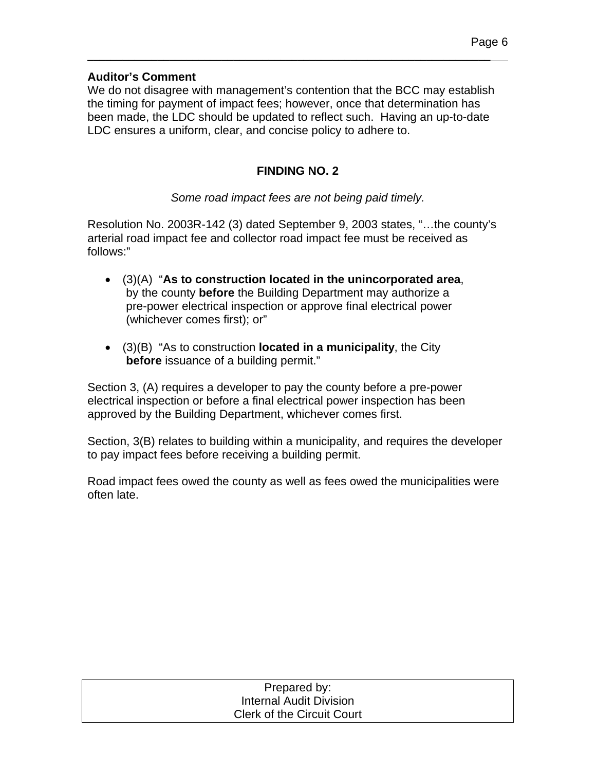### **Auditor's Comment**

We do not disagree with management's contention that the BCC may establish the timing for payment of impact fees; however, once that determination has been made, the LDC should be updated to reflect such. Having an up-to-date LDC ensures a uniform, clear, and concise policy to adhere to.

\_\_\_\_\_\_\_\_\_\_\_\_\_\_\_\_\_\_\_\_\_\_\_\_\_\_\_\_\_\_\_\_\_\_\_\_\_\_\_\_\_\_\_\_\_\_\_\_\_\_\_\_\_\_\_\_\_\_\_\_\_\_\_\_\_\_\_\_\_

## **FINDING NO. 2**

### *Some road impact fees are not being paid timely.*

Resolution No. 2003R-142 (3) dated September 9, 2003 states, "…the county's arterial road impact fee and collector road impact fee must be received as follows:"

- (3)(A) "**As to construction located in the unincorporated area**, by the county **before** the Building Department may authorize a pre-power electrical inspection or approve final electrical power (whichever comes first); or"
- (3)(B) "As to construction **located in a municipality**, the City **before** issuance of a building permit."

Section 3, (A) requires a developer to pay the county before a pre-power electrical inspection or before a final electrical power inspection has been approved by the Building Department, whichever comes first.

Section, 3(B) relates to building within a municipality, and requires the developer to pay impact fees before receiving a building permit.

Road impact fees owed the county as well as fees owed the municipalities were often late.

| Prepared by:                      |  |
|-----------------------------------|--|
| Internal Audit Division           |  |
| <b>Clerk of the Circuit Court</b> |  |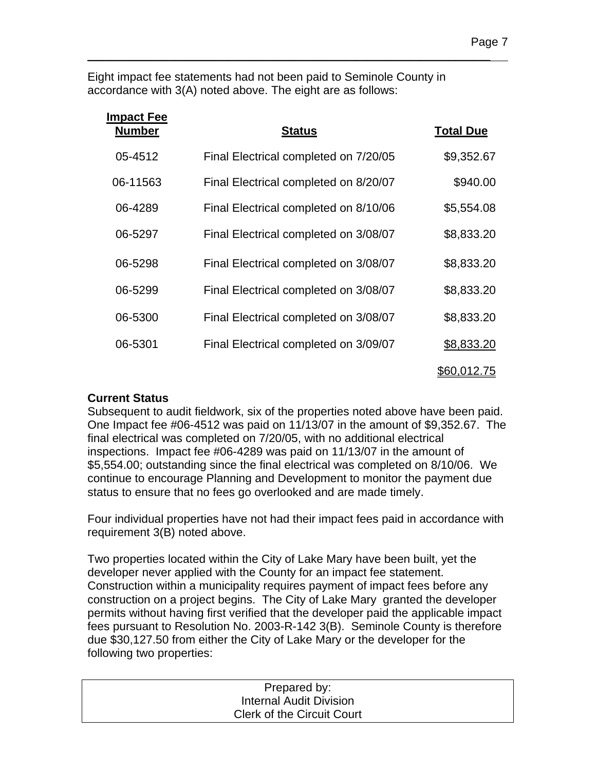Eight impact fee statements had not been paid to Seminole County in accordance with 3(A) noted above. The eight are as follows:

\_\_\_\_\_\_\_\_\_\_\_\_\_\_\_\_\_\_\_\_\_\_\_\_\_\_\_\_\_\_\_\_\_\_\_\_\_\_\_\_\_\_\_\_\_\_\_\_\_\_\_\_\_\_\_\_\_\_\_\_\_\_\_\_\_\_\_\_\_

| Impact Fee<br><b>Number</b> | <b>Status</b>                         | <b>Total Due</b>   |
|-----------------------------|---------------------------------------|--------------------|
| 05-4512                     | Final Electrical completed on 7/20/05 | \$9,352.67         |
| 06-11563                    | Final Electrical completed on 8/20/07 | \$940.00           |
| 06-4289                     | Final Electrical completed on 8/10/06 | \$5,554.08         |
| 06-5297                     | Final Electrical completed on 3/08/07 | \$8,833.20         |
| 06-5298                     | Final Electrical completed on 3/08/07 | \$8,833.20         |
| 06-5299                     | Final Electrical completed on 3/08/07 | \$8,833.20         |
| 06-5300                     | Final Electrical completed on 3/08/07 | \$8,833.20         |
| 06-5301                     | Final Electrical completed on 3/09/07 | \$8,833.20         |
|                             |                                       | <u>\$60,012.75</u> |

#### **Current Status**

Subsequent to audit fieldwork, six of the properties noted above have been paid. One Impact fee #06-4512 was paid on 11/13/07 in the amount of \$9,352.67. The final electrical was completed on 7/20/05, with no additional electrical inspections. Impact fee #06-4289 was paid on 11/13/07 in the amount of \$5,554.00; outstanding since the final electrical was completed on 8/10/06. We continue to encourage Planning and Development to monitor the payment due status to ensure that no fees go overlooked and are made timely.

Four individual properties have not had their impact fees paid in accordance with requirement 3(B) noted above.

Two properties located within the City of Lake Mary have been built, yet the developer never applied with the County for an impact fee statement. Construction within a municipality requires payment of impact fees before any construction on a project begins. The City of Lake Mary granted the developer permits without having first verified that the developer paid the applicable impact fees pursuant to Resolution No. 2003-R-142 3(B). Seminole County is therefore due \$30,127.50 from either the City of Lake Mary or the developer for the following two properties:

| Prepared by:                      |  |
|-----------------------------------|--|
| <b>Internal Audit Division</b>    |  |
| <b>Clerk of the Circuit Court</b> |  |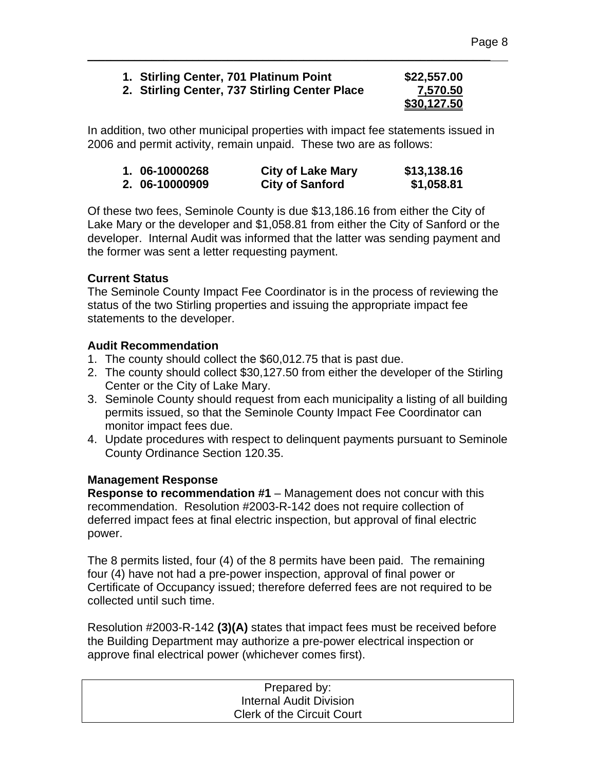| 1. Stirling Center, 701 Platinum Point        | \$22,557.00 |
|-----------------------------------------------|-------------|
| 2. Stirling Center, 737 Stirling Center Place | 7,570.50    |
|                                               | \$30,127.50 |

\_\_\_\_\_\_\_\_\_\_\_\_\_\_\_\_\_\_\_\_\_\_\_\_\_\_\_\_\_\_\_\_\_\_\_\_\_\_\_\_\_\_\_\_\_\_\_\_\_\_\_\_\_\_\_\_\_\_\_\_\_\_\_\_\_\_\_\_\_

In addition, two other municipal properties with impact fee statements issued in 2006 and permit activity, remain unpaid. These two are as follows:

| 1. 06-10000268 | <b>City of Lake Mary</b> | \$13,138.16 |
|----------------|--------------------------|-------------|
| 2. 06-10000909 | <b>City of Sanford</b>   | \$1,058.81  |

Of these two fees, Seminole County is due \$13,186.16 from either the City of Lake Mary or the developer and \$1,058.81 from either the City of Sanford or the developer. Internal Audit was informed that the latter was sending payment and the former was sent a letter requesting payment.

### **Current Status**

The Seminole County Impact Fee Coordinator is in the process of reviewing the status of the two Stirling properties and issuing the appropriate impact fee statements to the developer.

## **Audit Recommendation**

- 1. The county should collect the \$60,012.75 that is past due.
- 2. The county should collect \$30,127.50 from either the developer of the Stirling Center or the City of Lake Mary.
- 3. Seminole County should request from each municipality a listing of all building permits issued, so that the Seminole County Impact Fee Coordinator can monitor impact fees due.
- 4. Update procedures with respect to delinquent payments pursuant to Seminole County Ordinance Section 120.35.

#### **Management Response**

**Response to recommendation #1** – Management does not concur with this recommendation. Resolution #2003-R-142 does not require collection of deferred impact fees at final electric inspection, but approval of final electric power.

The 8 permits listed, four (4) of the 8 permits have been paid. The remaining four (4) have not had a pre-power inspection, approval of final power or Certificate of Occupancy issued; therefore deferred fees are not required to be collected until such time.

Resolution #2003-R-142 **(3)(A)** states that impact fees must be received before the Building Department may authorize a pre-power electrical inspection or approve final electrical power (whichever comes first).

| Prepared by:                      |  |
|-----------------------------------|--|
| Internal Audit Division           |  |
| <b>Clerk of the Circuit Court</b> |  |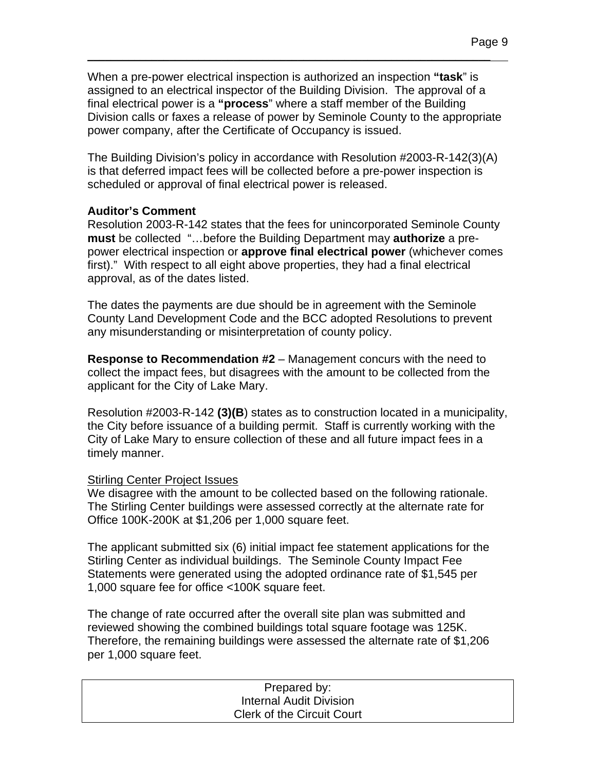When a pre-power electrical inspection is authorized an inspection **"task**" is assigned to an electrical inspector of the Building Division. The approval of a final electrical power is a **"process**" where a staff member of the Building Division calls or faxes a release of power by Seminole County to the appropriate power company, after the Certificate of Occupancy is issued.

\_\_\_\_\_\_\_\_\_\_\_\_\_\_\_\_\_\_\_\_\_\_\_\_\_\_\_\_\_\_\_\_\_\_\_\_\_\_\_\_\_\_\_\_\_\_\_\_\_\_\_\_\_\_\_\_\_\_\_\_\_\_\_\_\_\_\_\_\_

The Building Division's policy in accordance with Resolution #2003-R-142(3)(A) is that deferred impact fees will be collected before a pre-power inspection is scheduled or approval of final electrical power is released.

#### **Auditor's Comment**

Resolution 2003-R-142 states that the fees for unincorporated Seminole County **must** be collected "…before the Building Department may **authorize** a prepower electrical inspection or **approve final electrical power** (whichever comes first)." With respect to all eight above properties, they had a final electrical approval, as of the dates listed.

The dates the payments are due should be in agreement with the Seminole County Land Development Code and the BCC adopted Resolutions to prevent any misunderstanding or misinterpretation of county policy.

**Response to Recommendation #2** – Management concurs with the need to collect the impact fees, but disagrees with the amount to be collected from the applicant for the City of Lake Mary.

Resolution #2003-R-142 **(3)(B**) states as to construction located in a municipality, the City before issuance of a building permit. Staff is currently working with the City of Lake Mary to ensure collection of these and all future impact fees in a timely manner.

#### Stirling Center Project Issues

We disagree with the amount to be collected based on the following rationale. The Stirling Center buildings were assessed correctly at the alternate rate for Office 100K-200K at \$1,206 per 1,000 square feet.

The applicant submitted six (6) initial impact fee statement applications for the Stirling Center as individual buildings. The Seminole County Impact Fee Statements were generated using the adopted ordinance rate of \$1,545 per 1,000 square fee for office <100K square feet.

The change of rate occurred after the overall site plan was submitted and reviewed showing the combined buildings total square footage was 125K. Therefore, the remaining buildings were assessed the alternate rate of \$1,206 per 1,000 square feet.

| Prepared by:                      |  |
|-----------------------------------|--|
| Internal Audit Division           |  |
| <b>Clerk of the Circuit Court</b> |  |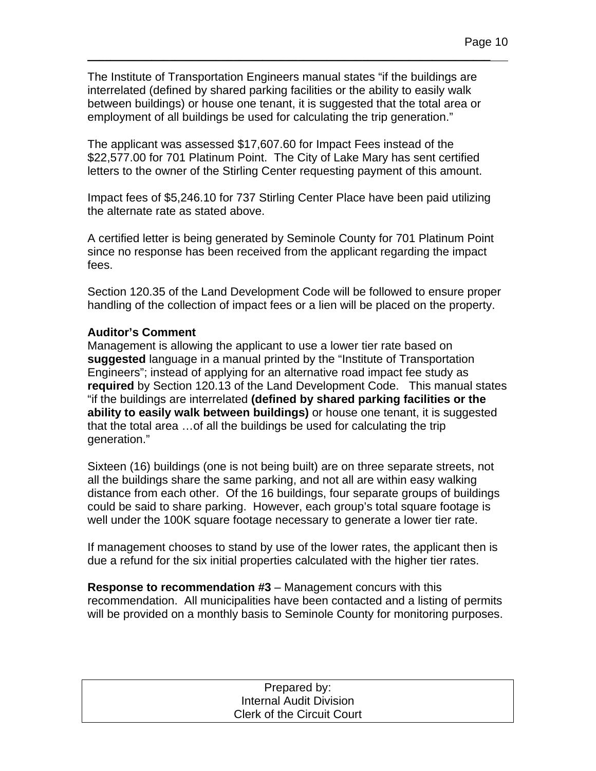The Institute of Transportation Engineers manual states "if the buildings are interrelated (defined by shared parking facilities or the ability to easily walk between buildings) or house one tenant, it is suggested that the total area or employment of all buildings be used for calculating the trip generation."

\_\_\_\_\_\_\_\_\_\_\_\_\_\_\_\_\_\_\_\_\_\_\_\_\_\_\_\_\_\_\_\_\_\_\_\_\_\_\_\_\_\_\_\_\_\_\_\_\_\_\_\_\_\_\_\_\_\_\_\_\_\_\_\_\_\_\_\_\_

The applicant was assessed \$17,607.60 for Impact Fees instead of the \$22,577.00 for 701 Platinum Point. The City of Lake Mary has sent certified letters to the owner of the Stirling Center requesting payment of this amount.

Impact fees of \$5,246.10 for 737 Stirling Center Place have been paid utilizing the alternate rate as stated above.

A certified letter is being generated by Seminole County for 701 Platinum Point since no response has been received from the applicant regarding the impact fees.

Section 120.35 of the Land Development Code will be followed to ensure proper handling of the collection of impact fees or a lien will be placed on the property.

### **Auditor's Comment**

Management is allowing the applicant to use a lower tier rate based on **suggested** language in a manual printed by the "Institute of Transportation Engineers"; instead of applying for an alternative road impact fee study as **required** by Section 120.13 of the Land Development Code. This manual states "if the buildings are interrelated **(defined by shared parking facilities or the ability to easily walk between buildings)** or house one tenant, it is suggested that the total area …of all the buildings be used for calculating the trip generation."

Sixteen (16) buildings (one is not being built) are on three separate streets, not all the buildings share the same parking, and not all are within easy walking distance from each other. Of the 16 buildings, four separate groups of buildings could be said to share parking. However, each group's total square footage is well under the 100K square footage necessary to generate a lower tier rate.

If management chooses to stand by use of the lower rates, the applicant then is due a refund for the six initial properties calculated with the higher tier rates.

**Response to recommendation #3** – Management concurs with this recommendation. All municipalities have been contacted and a listing of permits will be provided on a monthly basis to Seminole County for monitoring purposes.

| Prepared by:                      |  |
|-----------------------------------|--|
| Internal Audit Division           |  |
| <b>Clerk of the Circuit Court</b> |  |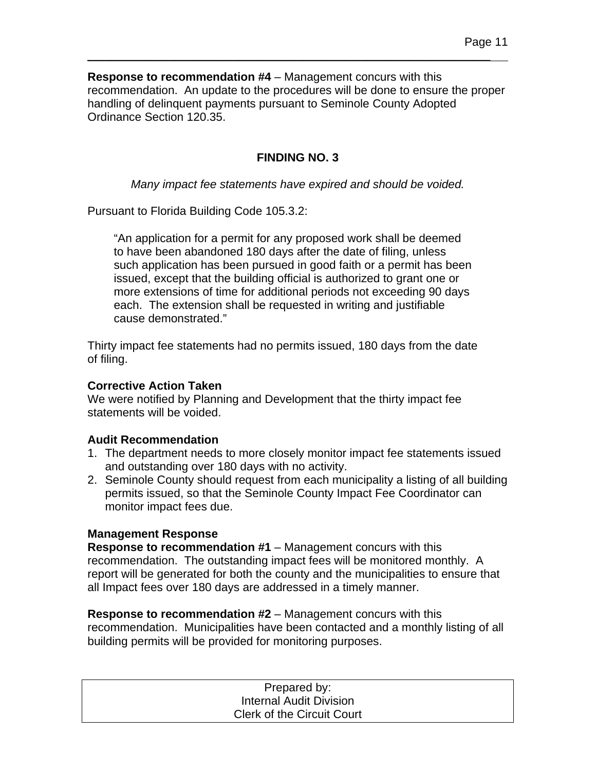**Response to recommendation #4** – Management concurs with this recommendation. An update to the procedures will be done to ensure the proper handling of delinquent payments pursuant to Seminole County Adopted Ordinance Section 120.35.

\_\_\_\_\_\_\_\_\_\_\_\_\_\_\_\_\_\_\_\_\_\_\_\_\_\_\_\_\_\_\_\_\_\_\_\_\_\_\_\_\_\_\_\_\_\_\_\_\_\_\_\_\_\_\_\_\_\_\_\_\_\_\_\_\_\_\_\_\_

## **FINDING NO. 3**

*Many impact fee statements have expired and should be voided.* 

Pursuant to Florida Building Code 105.3.2:

"An application for a permit for any proposed work shall be deemed to have been abandoned 180 days after the date of filing, unless such application has been pursued in good faith or a permit has been issued, except that the building official is authorized to grant one or more extensions of time for additional periods not exceeding 90 days each. The extension shall be requested in writing and justifiable cause demonstrated."

Thirty impact fee statements had no permits issued, 180 days from the date of filing.

#### **Corrective Action Taken**

We were notified by Planning and Development that the thirty impact fee statements will be voided.

#### **Audit Recommendation**

- 1. The department needs to more closely monitor impact fee statements issued and outstanding over 180 days with no activity.
- 2. Seminole County should request from each municipality a listing of all building permits issued, so that the Seminole County Impact Fee Coordinator can monitor impact fees due.

#### **Management Response**

**Response to recommendation #1** – Management concurs with this recommendation. The outstanding impact fees will be monitored monthly. A report will be generated for both the county and the municipalities to ensure that all Impact fees over 180 days are addressed in a timely manner.

**Response to recommendation #2** – Management concurs with this recommendation. Municipalities have been contacted and a monthly listing of all building permits will be provided for monitoring purposes.

| Prepared by:                      |  |
|-----------------------------------|--|
| Internal Audit Division           |  |
| <b>Clerk of the Circuit Court</b> |  |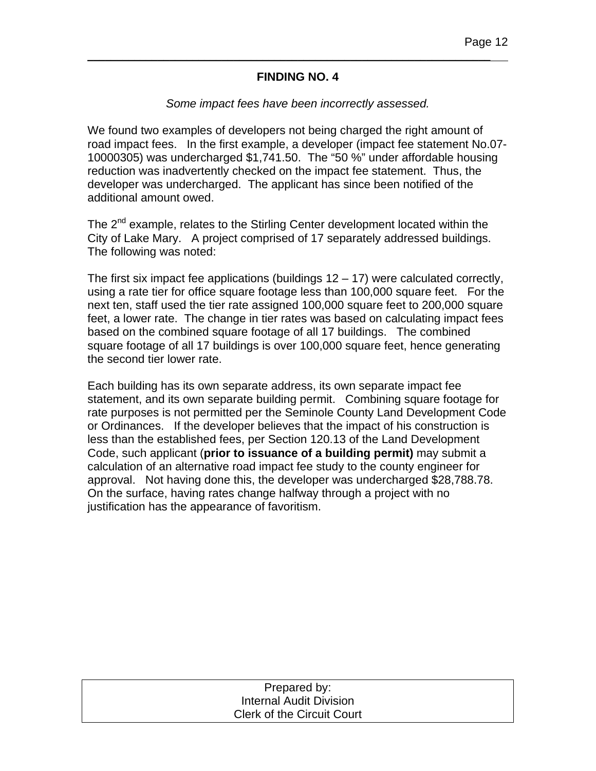#### **FINDING NO. 4**

\_\_\_\_\_\_\_\_\_\_\_\_\_\_\_\_\_\_\_\_\_\_\_\_\_\_\_\_\_\_\_\_\_\_\_\_\_\_\_\_\_\_\_\_\_\_\_\_\_\_\_\_\_\_\_\_\_\_\_\_\_\_\_\_\_\_\_\_\_

#### *Some impact fees have been incorrectly assessed.*

We found two examples of developers not being charged the right amount of road impact fees. In the first example, a developer (impact fee statement No.07- 10000305) was undercharged \$1,741.50. The "50 %" under affordable housing reduction was inadvertently checked on the impact fee statement. Thus, the developer was undercharged. The applicant has since been notified of the additional amount owed.

The 2<sup>nd</sup> example, relates to the Stirling Center development located within the City of Lake Mary. A project comprised of 17 separately addressed buildings. The following was noted:

The first six impact fee applications (buildings  $12 - 17$ ) were calculated correctly, using a rate tier for office square footage less than 100,000 square feet. For the next ten, staff used the tier rate assigned 100,000 square feet to 200,000 square feet, a lower rate. The change in tier rates was based on calculating impact fees based on the combined square footage of all 17 buildings. The combined square footage of all 17 buildings is over 100,000 square feet, hence generating the second tier lower rate.

Each building has its own separate address, its own separate impact fee statement, and its own separate building permit. Combining square footage for rate purposes is not permitted per the Seminole County Land Development Code or Ordinances. If the developer believes that the impact of his construction is less than the established fees, per Section 120.13 of the Land Development Code, such applicant (**prior to issuance of a building permit)** may submit a calculation of an alternative road impact fee study to the county engineer for approval. Not having done this, the developer was undercharged \$28,788.78. On the surface, having rates change halfway through a project with no justification has the appearance of favoritism.

| Prepared by:                      |  |
|-----------------------------------|--|
| Internal Audit Division           |  |
| <b>Clerk of the Circuit Court</b> |  |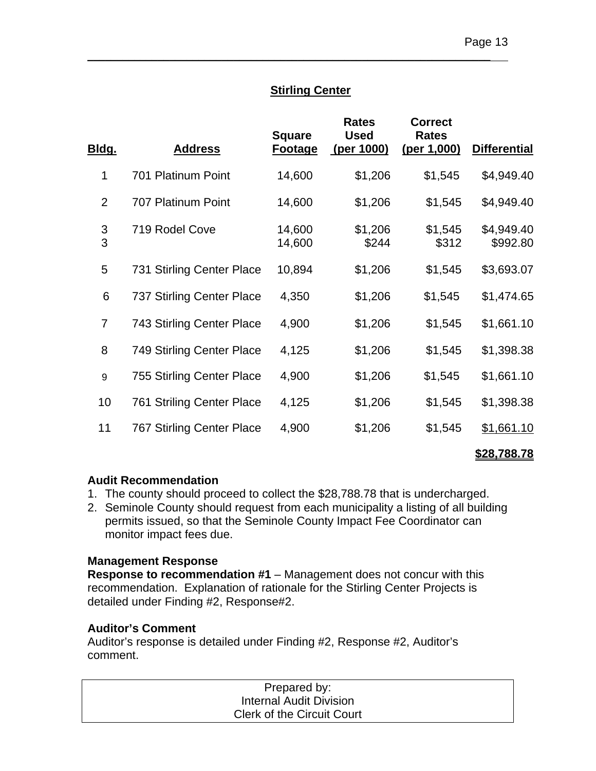### **Stirling Center**

\_\_\_\_\_\_\_\_\_\_\_\_\_\_\_\_\_\_\_\_\_\_\_\_\_\_\_\_\_\_\_\_\_\_\_\_\_\_\_\_\_\_\_\_\_\_\_\_\_\_\_\_\_\_\_\_\_\_\_\_\_\_\_\_\_\_\_\_\_

| <u>Bldg.</u>   | <b>Address</b>                   | <b>Square</b><br><b>Footage</b> | <b>Rates</b><br><b>Used</b><br>(per 1000) | <b>Correct</b><br><b>Rates</b><br>(per 1,000) | <b>Differential</b>    |
|----------------|----------------------------------|---------------------------------|-------------------------------------------|-----------------------------------------------|------------------------|
| 1              | 701 Platinum Point               | 14,600                          | \$1,206                                   | \$1,545                                       | \$4,949.40             |
| $\overline{2}$ | 707 Platinum Point               | 14,600                          | \$1,206                                   | \$1,545                                       | \$4,949.40             |
| 3<br>3         | 719 Rodel Cove                   | 14,600<br>14,600                | \$1,206<br>\$244                          | \$1,545<br>\$312                              | \$4,949.40<br>\$992.80 |
| 5              | 731 Stirling Center Place        | 10,894                          | \$1,206                                   | \$1,545                                       | \$3,693.07             |
| 6              | 737 Stirling Center Place        | 4,350                           | \$1,206                                   | \$1,545                                       | \$1,474.65             |
| $\overline{7}$ | 743 Stirling Center Place        | 4,900                           | \$1,206                                   | \$1,545                                       | \$1,661.10             |
| 8              | 749 Stirling Center Place        | 4,125                           | \$1,206                                   | \$1,545                                       | \$1,398.38             |
| 9              | <b>755 Stirling Center Place</b> | 4,900                           | \$1,206                                   | \$1,545                                       | \$1,661.10             |
| 10             | <b>761 Striling Center Place</b> | 4,125                           | \$1,206                                   | \$1,545                                       | \$1,398.38             |
| 11             | 767 Stirling Center Place        | 4,900                           | \$1,206                                   | \$1,545                                       | \$1,661.10             |

#### **\$28,788.78**

#### **Audit Recommendation**

- 1. The county should proceed to collect the \$28,788.78 that is undercharged.
- 2. Seminole County should request from each municipality a listing of all building permits issued, so that the Seminole County Impact Fee Coordinator can monitor impact fees due.

#### **Management Response**

**Response to recommendation #1** – Management does not concur with this recommendation. Explanation of rationale for the Stirling Center Projects is detailed under Finding #2, Response#2.

#### **Auditor's Comment**

Auditor's response is detailed under Finding #2, Response #2, Auditor's comment.

| Prepared by:                      |  |
|-----------------------------------|--|
| Internal Audit Division           |  |
| <b>Clerk of the Circuit Court</b> |  |